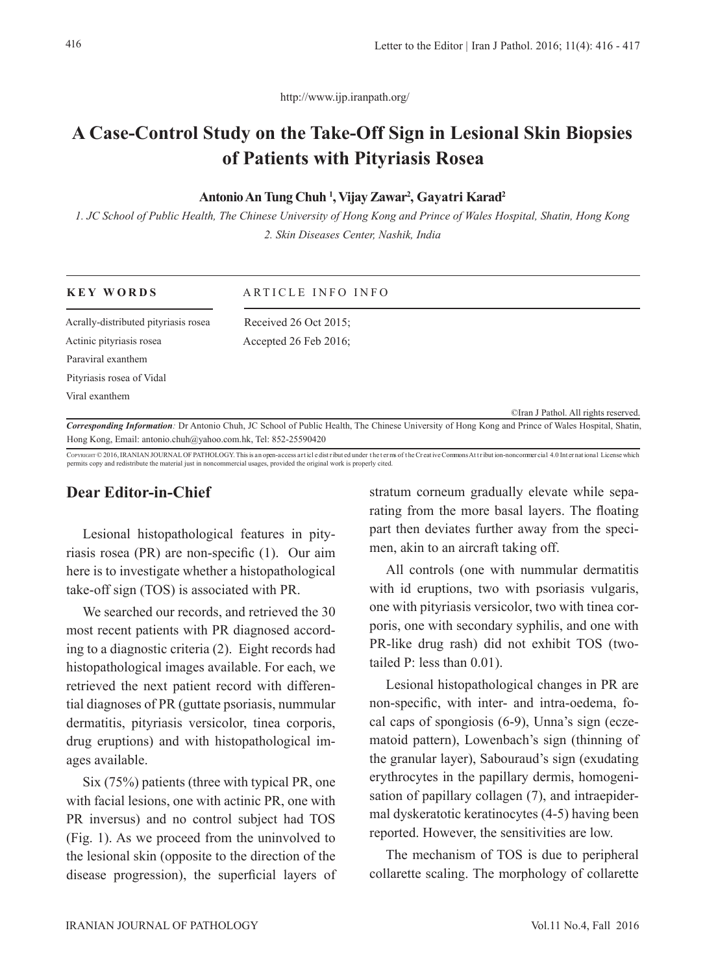http://www.ijp.iranpath.org/

# **A Case-Control Study on the Take-Off Sign in Lesional Skin Biopsies of Patients with Pityriasis Rosea**

#### **Antonio An Tung Chuh <sup>1</sup> , Vijay Zawar<sup>2</sup> , Gayatri Karad<sup>2</sup>**

*1. JC School of Public Health, The Chinese University of Hong Kong and Prince of Wales Hospital, Shatin, Hong Kong 2. Skin Diseases Center, Nashik, India*

| <b>KEY WORDS</b>                                               | ARTICLE INFO INFO                                                                                                                                         |                                      |
|----------------------------------------------------------------|-----------------------------------------------------------------------------------------------------------------------------------------------------------|--------------------------------------|
| Acrally-distributed pityriasis rosea                           | Received $26$ Oct $2015$ ;                                                                                                                                |                                      |
| Actinic pityriasis rosea                                       | Accepted $26$ Feb $2016$ ;                                                                                                                                |                                      |
| Paraviral exanthem                                             |                                                                                                                                                           |                                      |
| Pityriasis rosea of Vidal                                      |                                                                                                                                                           |                                      |
| Viral exanthem                                                 |                                                                                                                                                           |                                      |
|                                                                |                                                                                                                                                           | CIran J Pathol. All rights reserved. |
|                                                                | <b>Corresponding Information</b> : Dr Antonio Chuh, JC School of Public Health, The Chinese University of Hong Kong and Prince of Wales Hospital, Shatin, |                                      |
| Hong Kong, Email: antonio.chuh@yahoo.com.hk, Tel: 852-25590420 |                                                                                                                                                           |                                      |

COPYRIGHT © 2016, IRANIAN JOURNAL OF PATHOLOGY. This is an open-access art icle dist ribut ed under the terms of the Creative Commons Att ribut ion-noncommer cial 4.0 International License which permits copy and redistribute the material just in noncommercial usages, provided the original work is properly cited.

## **Dear Editor-in-Chief**

Lesional histopathological features in pityriasis rosea (PR) are non-specific (1). Our aim here is to investigate whether a histopathological take-off sign (TOS) is associated with PR.

We searched our records, and retrieved the 30 most recent patients with PR diagnosed according to a diagnostic criteria (2). Eight records had histopathological images available. For each, we retrieved the next patient record with differential diagnoses of PR (guttate psoriasis, nummular dermatitis, pityriasis versicolor, tinea corporis, drug eruptions) and with histopathological images available.

Six (75%) patients (three with typical PR, one with facial lesions, one with actinic PR, one with PR inversus) and no control subject had TOS (Fig. 1). As we proceed from the uninvolved to the lesional skin (opposite to the direction of the disease progression), the superficial layers of stratum corneum gradually elevate while separating from the more basal layers. The floating part then deviates further away from the specimen, akin to an aircraft taking off.

All controls (one with nummular dermatitis with id eruptions, two with psoriasis vulgaris, one with pityriasis versicolor, two with tinea corporis, one with secondary syphilis, and one with PR-like drug rash) did not exhibit TOS (twotailed P: less than 0.01).

Lesional histopathological changes in PR are non-specific, with inter- and intra-oedema, focal caps of spongiosis (6-9), Unna's sign (eczematoid pattern), Lowenbach's sign (thinning of the granular layer), Sabouraud's sign (exudating erythrocytes in the papillary dermis, homogenisation of papillary collagen (7), and intraepidermal dyskeratotic keratinocytes (4-5) having been reported. However, the sensitivities are low.

The mechanism of TOS is due to peripheral collarette scaling. The morphology of collarette